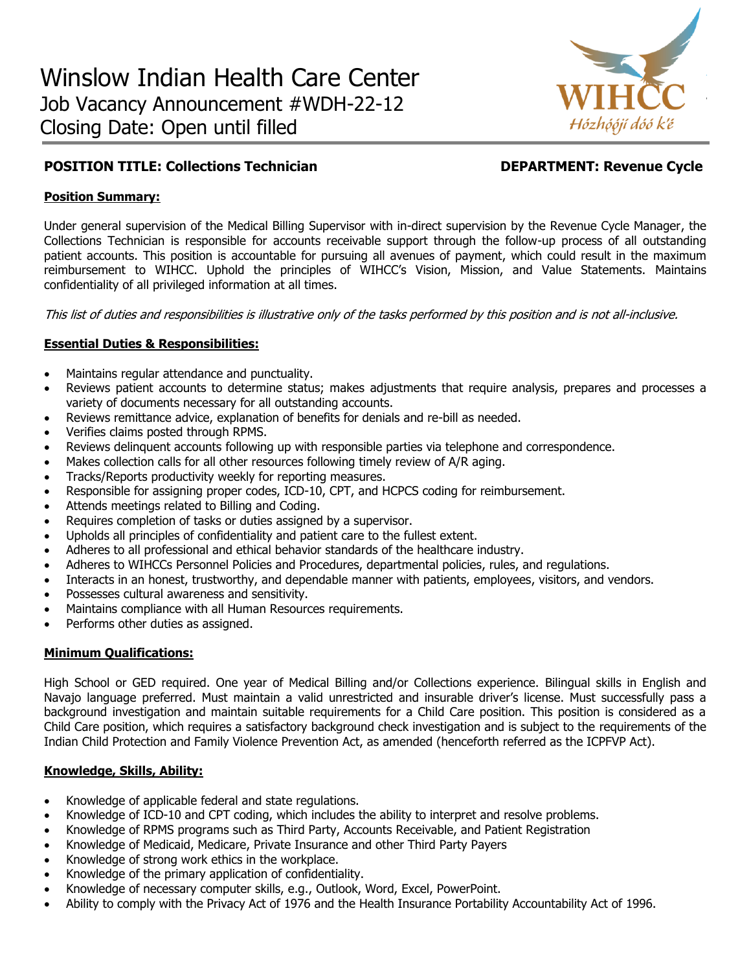

# **POSITION TITLE: Collections Technician DEPARTMENT: Revenue Cycle**

# **Position Summary:**

Under general supervision of the Medical Billing Supervisor with in-direct supervision by the Revenue Cycle Manager, the Collections Technician is responsible for accounts receivable support through the follow-up process of all outstanding patient accounts. This position is accountable for pursuing all avenues of payment, which could result in the maximum reimbursement to WIHCC. Uphold the principles of WIHCC's Vision, Mission, and Value Statements. Maintains confidentiality of all privileged information at all times.

This list of duties and responsibilities is illustrative only of the tasks performed by this position and is not all-inclusive.

# **Essential Duties & Responsibilities:**

- Maintains regular attendance and punctuality.
- Reviews patient accounts to determine status; makes adjustments that require analysis, prepares and processes a variety of documents necessary for all outstanding accounts.
- Reviews remittance advice, explanation of benefits for denials and re-bill as needed.
- Verifies claims posted through RPMS.
- Reviews delinquent accounts following up with responsible parties via telephone and correspondence.
- Makes collection calls for all other resources following timely review of A/R aging.
- Tracks/Reports productivity weekly for reporting measures.
- Responsible for assigning proper codes, ICD-10, CPT, and HCPCS coding for reimbursement.
- Attends meetings related to Billing and Coding.
- Requires completion of tasks or duties assigned by a supervisor.
- Upholds all principles of confidentiality and patient care to the fullest extent.
- Adheres to all professional and ethical behavior standards of the healthcare industry.
- Adheres to WIHCCs Personnel Policies and Procedures, departmental policies, rules, and regulations.
- Interacts in an honest, trustworthy, and dependable manner with patients, employees, visitors, and vendors.
- Possesses cultural awareness and sensitivity.
- Maintains compliance with all Human Resources requirements.
- Performs other duties as assigned.

### **Minimum Qualifications:**

High School or GED required. One year of Medical Billing and/or Collections experience. Bilingual skills in English and Navajo language preferred. Must maintain a valid unrestricted and insurable driver's license. Must successfully pass a background investigation and maintain suitable requirements for a Child Care position. This position is considered as a Child Care position, which requires a satisfactory background check investigation and is subject to the requirements of the Indian Child Protection and Family Violence Prevention Act, as amended (henceforth referred as the ICPFVP Act).

### **Knowledge, Skills, Ability:**

- Knowledge of applicable federal and state regulations.
- Knowledge of ICD-10 and CPT coding, which includes the ability to interpret and resolve problems.
- Knowledge of RPMS programs such as Third Party, Accounts Receivable, and Patient Registration
- Knowledge of Medicaid, Medicare, Private Insurance and other Third Party Payers
- Knowledge of strong work ethics in the workplace.
- Knowledge of the primary application of confidentiality.
- Knowledge of necessary computer skills, e.g., Outlook, Word, Excel, PowerPoint.
- Ability to comply with the Privacy Act of 1976 and the Health Insurance Portability Accountability Act of 1996.